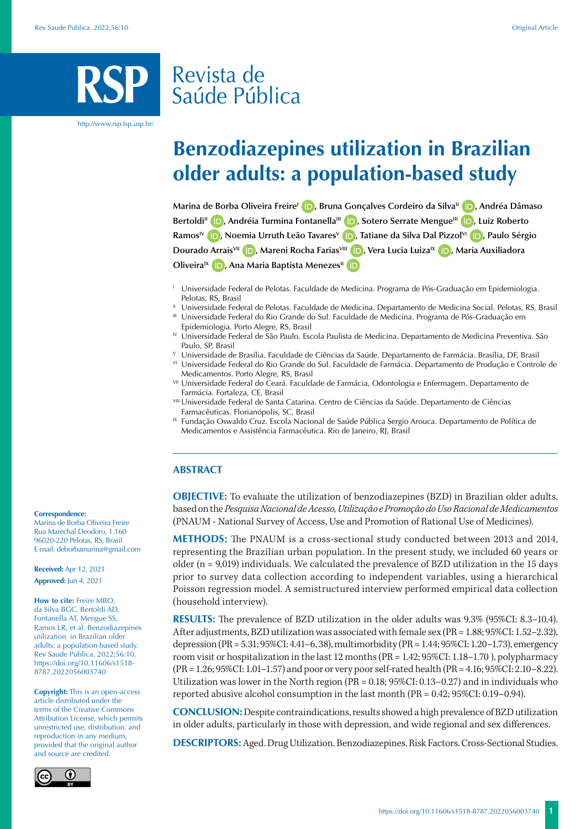## Revista de Saúde Pública

http://www.rsp.fsp.usp.br/

# **Benzodiazepines utilization in Brazilian older adults: a population-based study**

**Marina de Borba Oliveira FreireI [,](https://orcid.org/0000-0002-9307-4337) Bruna Gonçalves Cordeiro da SilvaII [,](https://orcid.org/0000-0003-2917-7320) Andréa Dâmaso**  Bertoldi<sup>II</sup> **(D**)[,](https://orcid.org/0000-0003-0455-9429) Andréia Turmina Fontanella<sup>III</sup> **(D**)[,](https://orcid.org/0000-0002-3349-8541) Sotero Serrate Mengue<sup>III</sup> **(D**), Luiz Roberto **RamosIV [,](https://orcid.org/0000-0003-3143-8315) Noemia Urruth Leão TavaresV [,](https://orcid.org/0000-0001-6180-7527) Tatiane da Silva Dal PizzolVI [,](https://orcid.org/0000-0002-7566-7745) Paulo Sérgio Dourado ArraisVII [,](https://orcid.org/0000-0002-4502-8467) Mareni Rocha FariasVIII [,](https://orcid.org/0000-0002-4319-9318) Vera Lucia LuizaIX [,](https://orcid.org/0000-0001-6245-7522) Maria Auxiliadora Oliveira<sup>IX</sup> iD**[,](https://orcid.org/0000-0003-2400-536X) Ana Maria Baptista Menezes<sup>II</sup> **iD** 

- <sup>1</sup> Universidade Federal de Pelotas. Faculdade de Medicina. Programa de Pós-Graduação em Epidemiologia. Pelotas, RS, Brasil
- <sup>II</sup> Universidade Federal de Pelotas. Faculdade de Medicina. Departamento de Medicina Social. Pelotas, RS, Brasil III Universidade Federal do Rio Grande do Sul. Faculdade de Medicina. Programa de Pós-Graduação em Epidemiologia. Porto Alegre, RS, Brasil
- IV Universidade Federal de São Paulo. Escola Paulista de Medicina. Departamento de Medicina Preventiva. São Paulo, SP, Brasil
- <sup>V</sup> Universidade de Brasília. Faculdade de Ciências da Saúde. Departamento de Farmácia. Brasília, DF, Brasil
- VI Universidade Federal do Rio Grande do Sul. Faculdade de Farmácia. Departamento de Produção e Controle de Medicamentos. Porto Alegre, RS, Brasil
- VII Universidade Federal do Ceará. Faculdade de Farmácia, Odontologia e Enfermagem. Departamento de Farmácia. Fortaleza, CE, Brasil
- **VIII Universidade Federal de Santa Catarina. Centro de Ciências da Saúde. Departamento de Ciências** Farmacêuticas. Florianópolis, SC, Brasil
- <sup>IX</sup> Fundação Oswaldo Cruz. Escola Nacional de Saúde Pública Sergio Arouca. Departamento de Política de Medicamentos e Assistência Farmacêutica. Rio de Janeiro, RJ, Brasil

#### **ABSTRACT**

**OBJECTIVE:** To evaluate the utilization of benzodiazepines (BZD) in Brazilian older adults, based on the *Pesquisa Nacional de Acesso, Utilização e Promoção do Uso Racional de Medicamentos* (PNAUM - National Survey of Access, Use and Promotion of Rational Use of Medicines).

**METHODS:** The PNAUM is a cross-sectional study conducted between 2013 and 2014, representing the Brazilian urban population. In the present study, we included 60 years or older (n = 9,019) individuals. We calculated the prevalence of BZD utilization in the 15 days prior to survey data collection according to independent variables, using a hierarchical Poisson regression model. A semistructured interview performed empirical data collection (household interview).

**RESULTS:** The prevalence of BZD utilization in the older adults was 9.3% (95%CI: 8.3–10.4). After adjustments, BZD utilization was associated with female sex (PR = 1.88; 95%CI: 1.52–2.32), depression (PR = 5.31; 95%CI: 4.41–6, 38), multimorbidity (PR = 1.44; 95%CI: 1.20–1.73), emergency room visit or hospitalization in the last 12 months (PR = 1.42; 95%CI: 1.18–1.70 ), polypharmacy (PR = 1.26; 95%CI: 1.01–1.57) and poor or very poor self-rated health (PR = 4.16; 95%CI: 2.10–8.22). Utilization was lower in the North region (PR = 0.18; 95%CI: 0.13–0.27) and in individuals who reported abusive alcohol consumption in the last month (PR = 0.42; 95%CI: 0.19–0.94).

**CONCLUSION:** Despite contraindications, results showed a high prevalence of BZD utilization in older adults, particularly in those with depression, and wide regional and sex differences.

**DESCRIPTORS:** Aged. Drug Utilization. Benzodiazepines. Risk Factors. Cross-Sectional Studies.

#### **Correspondence:**

Marina de Borba Oliveira Freire Rua Marechal Deodoro, 1.160 96020-220 Pelotas, RS, Brasil E-mail: deborbamarina@gmail.com

**Received:** Apr 12, 2021 **Approved:** Jun 4, 2021

**How to cite:** Freire MBO, da Silva BGC, Bertoldi AD, Fontanella AT, Mengue SS, Ramos LR, et al. Benzodiazepines utilization in Brazilian older adults: a population-based study. Rev Saude Publica. 2022;56:10. https://doi.org/10.11606/s1518- 8787.2022056003740

**Copyright:** This is an open-access article distributed under the terms of the Creative Commons Attribution License, which permits unrestricted use, distribution, and reproduction in any medium, provided that the original author and source are credited.

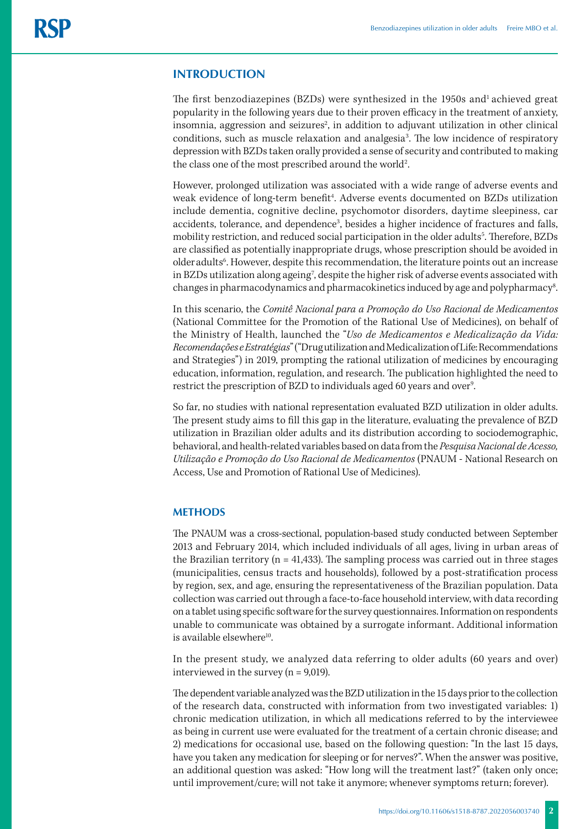#### **INTRODUCTION**

The first benzodiazepines (BZDs) were synthesized in the 1950s and<sup>1</sup> achieved great popularity in the following years due to their proven efficacy in the treatment of anxiety, insomnia, aggression and seizures<sup>2</sup>, in addition to adjuvant utilization in other clinical conditions, such as muscle relaxation and analgesia<sup>3</sup>. The low incidence of respiratory depression with BZDs taken orally provided a sense of security and contributed to making the class one of the most prescribed around the world<sup>2</sup>. .

However, prolonged utilization was associated with a wide range of adverse events and weak evidence of long-term benefit<sup>4</sup>. Adverse events documented on BZDs utilization include dementia, cognitive decline, psychomotor disorders, daytime sleepiness, car accidents, tolerance, and dependence<sup>3</sup>, besides a higher incidence of fractures and falls, mobility restriction, and reduced social participation in the older adults<sup>5</sup>. Therefore, BZDs are classified as potentially inappropriate drugs, whose prescription should be avoided in older adults<sup>6</sup>. However, despite this recommendation, the literature points out an increase in BZDs utilization along ageing7 , despite the higher risk of adverse events associated with changes in pharmacodynamics and pharmacokinetics induced by age and polypharmacy<sup>8</sup>. .

In this scenario, the *Comitê Nacional para a Promoção do Uso Racional de Medicamentos* (National Committee for the Promotion of the Rational Use of Medicines), on behalf of the Ministry of Health, launched the "*Uso de Medicamentos e Medicalização da Vida: Recomendações e Estratégias*" ("Drug utilization and Medicalization of Life: Recommendations and Strategies") in 2019, prompting the rational utilization of medicines by encouraging education, information, regulation, and research. The publication highlighted the need to restrict the prescription of BZD to individuals aged 60 years and over<sup>9</sup>. .<br>.

So far, no studies with national representation evaluated BZD utilization in older adults. The present study aims to fill this gap in the literature, evaluating the prevalence of BZD utilization in Brazilian older adults and its distribution according to sociodemographic, behavioral, and health-related variables based on data from the *Pesquisa Nacional de Acesso, Utilização e Promoção do Uso Racional de Medicamentos* (PNAUM - National Research on Access, Use and Promotion of Rational Use of Medicines).

#### **METHODS**

The PNAUM was a cross-sectional, population-based study conducted between September 2013 and February 2014, which included individuals of all ages, living in urban areas of the Brazilian territory ( $n = 41,433$ ). The sampling process was carried out in three stages (municipalities, census tracts and households), followed by a post-stratification process by region, sex, and age, ensuring the representativeness of the Brazilian population. Data collection was carried out through a face-to-face household interview, with data recording on a tablet using specific software for the survey questionnaires. Information on respondents unable to communicate was obtained by a surrogate informant. Additional information is available elsewhere $10$ .

In the present study, we analyzed data referring to older adults (60 years and over) interviewed in the survey (n = 9,019).

The dependent variable analyzed was the BZD utilization in the 15 days prior to the collection of the research data, constructed with information from two investigated variables: 1) chronic medication utilization, in which all medications referred to by the interviewee as being in current use were evaluated for the treatment of a certain chronic disease; and 2) medications for occasional use, based on the following question: "In the last 15 days, have you taken any medication for sleeping or for nerves?". When the answer was positive, an additional question was asked: "How long will the treatment last?" (taken only once; until improvement/cure; will not take it anymore; whenever symptoms return; forever).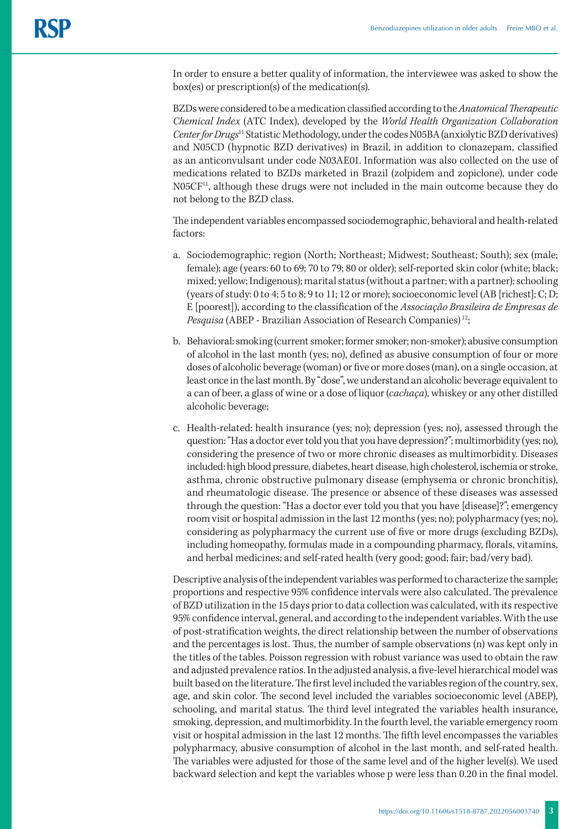In order to ensure a better quality of information, the interviewee was asked to show the box(es) or prescription(s) of the medication(s).

BZDs were considered to be a medication classified according to the *Anatomical Therapeutic Chemical Index* (ATC Index), developed by the *World Health Organization Collaboration Center for Drugs*11 Statistic Methodology, under the codes N05BA (anxiolytic BZD derivatives) and N05CD (hypnotic BZD derivatives) in Brazil, in addition to clonazepam, classified as an anticonvulsant under code N03AE01. Information was also collected on the use of medications related to BZDs marketed in Brazil (zolpidem and zopiclone), under code N05CF11, although these drugs were not included in the main outcome because they do not belong to the BZD class.

The independent variables encompassed sociodemographic, behavioral and health-related factors:

- a. Sociodemographic: region (North; Northeast; Midwest; Southeast; South); sex (male; female); age (years: 60 to 69; 70 to 79; 80 or older); self-reported skin color (white; black; mixed; yellow; Indigenous); marital status (without a partner; with a partner); schooling (years of study: 0 to 4; 5 to 8; 9 to 11; 12 or more); socioeconomic level (AB [richest]; C; D; E [poorest]), according to the classification of the *Associação Brasileira de Empresas de Pesquisa* (ABEP - Brazilian Association of Research Companies) 12;
- b. Behavioral: smoking (current smoker; former smoker; non-smoker); abusive consumption of alcohol in the last month (yes; no), defined as abusive consumption of four or more doses of alcoholic beverage (woman) or five or more doses (man), on a single occasion, at least once in the last month. By "dose", we understand an alcoholic beverage equivalent to a can of beer, a glass of wine or a dose of liquor (*cachaça*), whiskey or any other distilled alcoholic beverage;
- c. Health-related: health insurance (yes; no); depression (yes; no), assessed through the question: "Has a doctor ever told you that you have depression?"; multimorbidity (yes; no), considering the presence of two or more chronic diseases as multimorbidity. Diseases included: high blood pressure, diabetes, heart disease, high cholesterol, ischemia or stroke, asthma, chronic obstructive pulmonary disease (emphysema or chronic bronchitis), and rheumatologic disease. The presence or absence of these diseases was assessed through the question: "Has a doctor ever told you that you have [disease]?"; emergency room visit or hospital admission in the last 12 months (yes; no); polypharmacy (yes; no), considering as polypharmacy the current use of five or more drugs (excluding BZDs), including homeopathy, formulas made in a compounding pharmacy, florals, vitamins, and herbal medicines; and self-rated health (very good; good; fair; bad/very bad).

Descriptive analysis of the independent variables was performed to characterize the sample; proportions and respective 95% confidence intervals were also calculated. The prevalence of BZD utilization in the 15 days prior to data collection was calculated, with its respective 95% confidence interval, general, and according to the independent variables. With the use of post-stratification weights, the direct relationship between the number of observations and the percentages is lost. Thus, the number of sample observations (n) was kept only in the titles of the tables. Poisson regression with robust variance was used to obtain the raw and adjusted prevalence ratios. In the adjusted analysis, a five-level hierarchical model was built based on the literature. The first level included the variables region of the country, sex, age, and skin color. The second level included the variables socioeconomic level (ABEP), schooling, and marital status. The third level integrated the variables health insurance, smoking, depression, and multimorbidity. In the fourth level, the variable emergency room visit or hospital admission in the last 12 months. The fifth level encompasses the variables polypharmacy, abusive consumption of alcohol in the last month, and self-rated health. The variables were adjusted for those of the same level and of the higher level(s). We used backward selection and kept the variables whose p were less than 0.20 in the final model.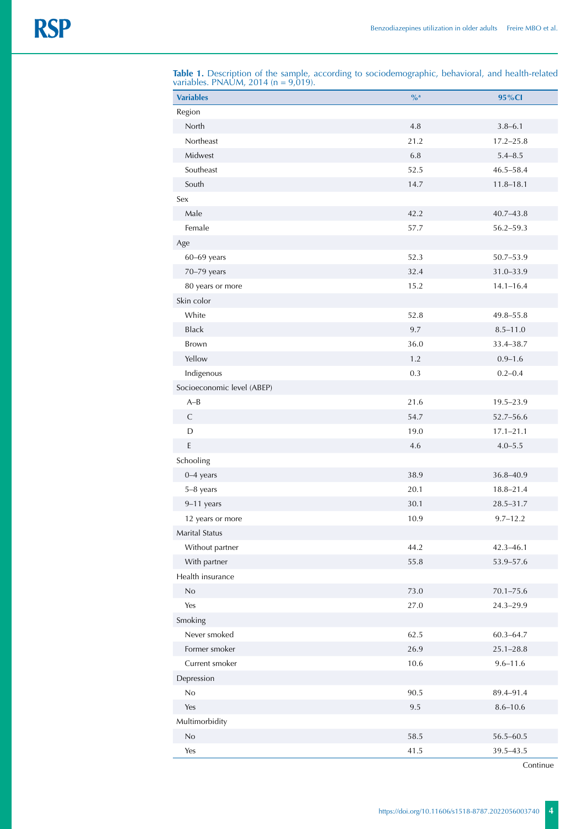| <b>Variables</b>           | $\frac{9}{2}$ a | 95%CI         |
|----------------------------|-----------------|---------------|
| Region                     |                 |               |
| North                      | $4.8\,$         | $3.8 - 6.1$   |
| Northeast                  | 21.2            | $17.2 - 25.8$ |
| Midwest                    | 6.8             | $5.4 - 8.5$   |
| Southeast                  | 52.5            | $46.5 - 58.4$ |
| South                      | 14.7            | $11.8 - 18.1$ |
| Sex                        |                 |               |
| Male                       | 42.2            | $40.7 - 43.8$ |
| Female                     | 57.7            | $56.2 - 59.3$ |
| Age                        |                 |               |
| $60 - 69$ years            | 52.3            | 50.7-53.9     |
| 70-79 years                | 32.4            | 31.0-33.9     |
| 80 years or more           | 15.2            | $14.1 - 16.4$ |
| Skin color                 |                 |               |
| White                      | 52.8            | 49.8–55.8     |
| <b>Black</b>               | 9.7             | $8.5 - 11.0$  |
| Brown                      | 36.0            | 33.4-38.7     |
| Yellow                     | 1.2             | $0.9 - 1.6$   |
| Indigenous                 | 0.3             | $0.2 - 0.4$   |
| Socioeconomic level (ABEP) |                 |               |
| $A-B$                      | 21.6            | 19.5-23.9     |
| $\mathsf C$                | 54.7            | 52.7-56.6     |
| D                          | 19.0            | $17.1 - 21.1$ |
| $\mathsf E$                | 4.6             | $4.0 - 5.5$   |
| Schooling                  |                 |               |
| $0-4$ years                | 38.9            | 36.8-40.9     |
| 5-8 years                  | 20.1            | $18.8 - 21.4$ |
| $9-11$ years               | 30.1            | 28.5-31.7     |
| 12 years or more           | 10.9            | $9.7 - 12.2$  |
| Marital Status             |                 |               |
| Without partner            | 44.2            | $42.3 - 46.1$ |
| With partner               | 55.8            | 53.9-57.6     |
| Health insurance           |                 |               |
| $\rm No$                   | 73.0            | $70.1 - 75.6$ |
| Yes                        | 27.0            | 24.3-29.9     |
|                            |                 |               |
| Smoking<br>Never smoked    |                 |               |
|                            | 62.5            | $60.3 - 64.7$ |
| Former smoker              | 26.9            | $25.1 - 28.8$ |
| Current smoker             | 10.6            | $9.6 - 11.6$  |
| Depression                 |                 |               |
| No                         | 90.5            | 89.4-91.4     |
| Yes                        | 9.5             | $8.6 - 10.6$  |
| Multimorbidity             |                 |               |
| $\rm No$                   | 58.5            | 56.5-60.5     |
| Yes                        | 41.5            | 39.5-43.5     |

**Table 1.** Description of the sample, according to sociodemographic, behavioral, and health-related variables. PNAUM, 2014 (n = 9,019).

Continue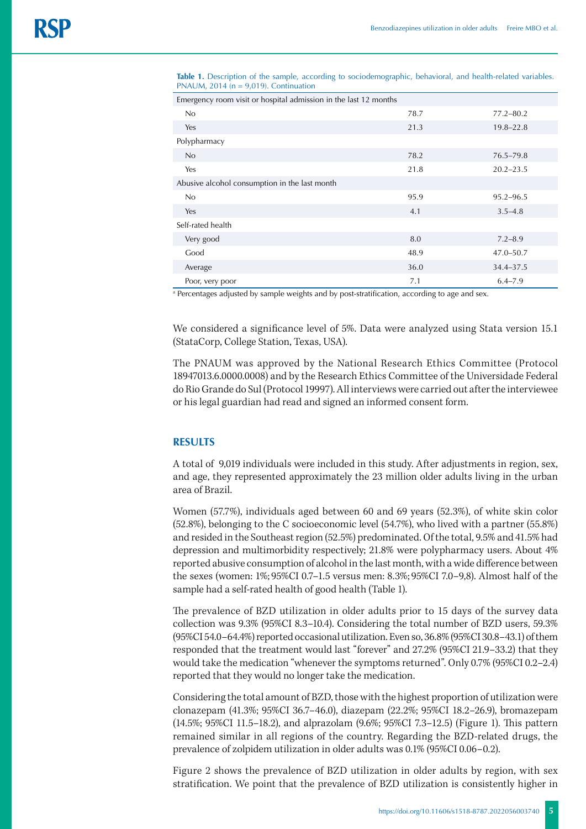| Emergency room visit or hospital admission in the last 12 months |      |               |  |  |  |  |
|------------------------------------------------------------------|------|---------------|--|--|--|--|
| No                                                               | 78.7 | $77.2 - 80.2$ |  |  |  |  |
| Yes                                                              | 21.3 | $19.8 - 22.8$ |  |  |  |  |
| Polypharmacy                                                     |      |               |  |  |  |  |
| No                                                               | 78.2 | $76.5 - 79.8$ |  |  |  |  |
| Yes                                                              | 21.8 | $20.2 - 23.5$ |  |  |  |  |
| Abusive alcohol consumption in the last month                    |      |               |  |  |  |  |
| No                                                               | 95.9 | $95.2 - 96.5$ |  |  |  |  |
| Yes                                                              | 4.1  | $3.5 - 4.8$   |  |  |  |  |
| Self-rated health                                                |      |               |  |  |  |  |
| Very good                                                        | 8.0  | $7.2 - 8.9$   |  |  |  |  |
| Good                                                             | 48.9 | 47.0–50.7     |  |  |  |  |
| Average                                                          | 36.0 | 34.4-37.5     |  |  |  |  |
| Poor, very poor                                                  | 7.1  | $6.4 - 7.9$   |  |  |  |  |

**Table 1.** Description of the sample, according to sociodemographic, behavioral, and health-related variables. PNAUM,  $2014$  ( $n = 9,019$ ). Continuation

a Percentages adjusted by sample weights and by post-stratification, according to age and sex.

We considered a significance level of 5%. Data were analyzed using Stata version 15.1 (StataCorp, College Station, Texas, USA).

The PNAUM was approved by the National Research Ethics Committee (Protocol 18947013.6.0000.0008) and by the Research Ethics Committee of the Universidade Federal do Rio Grande do Sul (Protocol 19997). All interviews were carried out after the interviewee or his legal guardian had read and signed an informed consent form.

## **RESULTS**

A total of 9,019 individuals were included in this study. After adjustments in region, sex, and age, they represented approximately the 23 million older adults living in the urban area of Brazil.

Women (57.7%), individuals aged between 60 and 69 years (52.3%), of white skin color (52.8%), belonging to the C socioeconomic level (54.7%), who lived with a partner (55.8%) and resided in the Southeast region (52.5%) predominated. Of the total, 9.5% and 41.5% had depression and multimorbidity respectively; 21.8% were polypharmacy users. About 4% reported abusive consumption of alcohol in the last month, with a wide difference between the sexes (women: 1%; 95%CI 0.7–1.5 versus men: 8.3%; 95%CI 7.0–9,8). Almost half of the sample had a self-rated health of good health (Table 1).

The prevalence of BZD utilization in older adults prior to 15 days of the survey data collection was 9.3% (95%CI 8.3–10.4). Considering the total number of BZD users, 59.3% (95%CI 54.0–64.4%) reported occasional utilization. Even so, 36.8% (95%CI 30.8–43.1) of them responded that the treatment would last "forever" and 27.2% (95%CI 21.9–33.2) that they would take the medication "whenever the symptoms returned". Only 0.7% (95%CI 0.2–2.4) reported that they would no longer take the medication.

Considering the total amount of BZD, those with the highest proportion of utilization were clonazepam (41.3%; 95%CI 36.7–46.0), diazepam (22.2%; 95%CI 18.2–26.9), bromazepam (14.5%; 95%CI 11.5–18.2), and alprazolam (9.6%; 95%CI 7.3–12.5) (Figure 1). This pattern remained similar in all regions of the country. Regarding the BZD-related drugs, the prevalence of zolpidem utilization in older adults was 0.1% (95%CI 0.06–0.2).

Figure 2 shows the prevalence of BZD utilization in older adults by region, with sex stratification. We point that the prevalence of BZD utilization is consistently higher in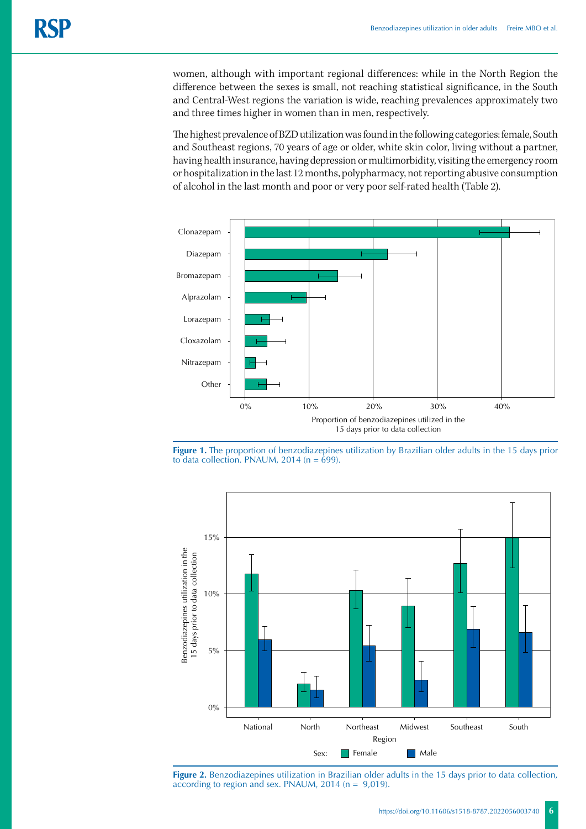women, although with important regional differences: while in the North Region the difference between the sexes is small, not reaching statistical significance, in the South and Central-West regions the variation is wide, reaching prevalences approximately two and three times higher in women than in men, respectively.

The highest prevalence of BZD utilization was found in the following categories: female, South and Southeast regions, 70 years of age or older, white skin color, living without a partner, having health insurance, having depression or multimorbidity, visiting the emergency room or hospitalization in the last 12 months, polypharmacy, not reporting abusive consumption of alcohol in the last month and poor or very poor self-rated health (Table 2).







**Figure 2.** Benzodiazepines utilization in Brazilian older adults in the 15 days prior to data collection, according to region and sex. PNAUM, 2014 (n = 9,019).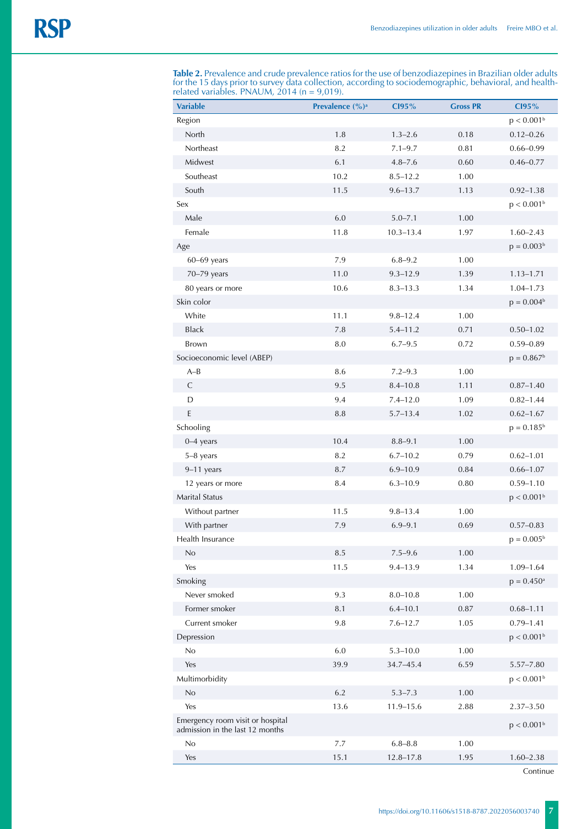**Table 2.** Prevalence and crude prevalence ratios for the use of benzodiazepines in Brazilian older adults for the 15 days prior to survey data collection, according to sociodemographic, behavioral, and healthrelated variables. PNAUM, 2014 (n = 9,019).

| <b>Variable</b>                                                     | Prevalence (%) <sup>a</sup> | C195%         | <b>Gross PR</b> | C195%                    |
|---------------------------------------------------------------------|-----------------------------|---------------|-----------------|--------------------------|
| Region                                                              |                             |               |                 | p < 0.001 <sup>b</sup>   |
| North                                                               | 1.8                         | $1.3 - 2.6$   | 0.18            | $0.12 - 0.26$            |
| Northeast                                                           | 8.2                         | $7.1 - 9.7$   | 0.81            | $0.66 - 0.99$            |
| Midwest                                                             | 6.1                         | $4.8 - 7.6$   | 0.60            | $0.46 - 0.77$            |
| Southeast                                                           | 10.2                        | $8.5 - 12.2$  | 1.00            |                          |
| South                                                               | 11.5                        | $9.6 - 13.7$  | 1.13            | $0.92 - 1.38$            |
| Sex                                                                 |                             |               |                 | p < 0.001 <sup>b</sup>   |
| Male                                                                | 6.0                         | $5.0 - 7.1$   | 1.00            |                          |
| Female                                                              | 11.8                        | $10.3 - 13.4$ | 1.97            | $1.60 - 2.43$            |
| Age                                                                 |                             |               |                 | $p = 0.003b$             |
| $60-69$ years                                                       | 7.9                         | $6.8 - 9.2$   | 1.00            |                          |
| 70-79 years                                                         | 11.0                        | $9.3 - 12.9$  | 1.39            | $1.13 - 1.71$            |
| 80 years or more                                                    | 10.6                        | $8.3 - 13.3$  | 1.34            | $1.04 - 1.73$            |
| Skin color                                                          |                             |               |                 | $p = 0.004b$             |
| White                                                               | 11.1                        | $9.8 - 12.4$  | 1.00            |                          |
| Black                                                               | 7.8                         | $5.4 - 11.2$  | 0.71            | $0.50 - 1.02$            |
| Brown                                                               | 8.0                         | $6.7 - 9.5$   | 0.72            | $0.59 - 0.89$            |
| Socioeconomic level (ABEP)                                          |                             |               |                 | $p = 0.867b$             |
| $A-B$                                                               | 8.6                         | $7.2 - 9.3$   | 1.00            |                          |
| $\mathsf{C}$                                                        | 9.5                         | $8.4 - 10.8$  | 1.11            | $0.87 - 1.40$            |
| D                                                                   | 9.4                         | $7.4 - 12.0$  | 1.09            | $0.82 - 1.44$            |
| E                                                                   | $8.8\,$                     | $5.7 - 13.4$  | 1.02            | $0.62 - 1.67$            |
| Schooling                                                           |                             |               |                 | $p = 0.185^b$            |
| $0-4$ years                                                         | 10.4                        | $8.8 - 9.1$   | 1.00            |                          |
| 5-8 years                                                           | 8.2                         | $6.7 - 10.2$  | 0.79            | $0.62 - 1.01$            |
| 9-11 years                                                          | 8.7                         | $6.9 - 10.9$  | 0.84            | $0.66 - 1.07$            |
| 12 years or more                                                    | 8.4                         | $6.3 - 10.9$  | 0.80            | $0.59 - 1.10$            |
| <b>Marital Status</b>                                               |                             |               |                 | p < 0.001 <sup>b</sup>   |
| Without partner                                                     | 11.5                        | $9.8 - 13.4$  | 1.00            |                          |
| With partner                                                        | 7.9                         | $6.9 - 9.1$   | 0.69            | $0.57 - 0.83$            |
| Health Insurance                                                    |                             |               |                 | $p = 0.005^{\rm b}$      |
| No                                                                  | 8.5                         | $7.5 - 9.6$   | 1.00            |                          |
| Yes                                                                 | 11.5                        | $9.4 - 13.9$  | 1.34            | $1.09 - 1.64$            |
| Smoking                                                             |                             |               |                 | $p = 0.450$ <sup>a</sup> |
| Never smoked                                                        | 9.3                         | $8.0 - 10.8$  | 1.00            |                          |
| Former smoker                                                       | 8.1                         | $6.4 - 10.1$  | 0.87            | $0.68 - 1.11$            |
| Current smoker                                                      | 9.8                         | $7.6 - 12.7$  | 1.05            | $0.79 - 1.41$            |
| Depression                                                          |                             |               |                 | p < 0.001 <sup>b</sup>   |
| No                                                                  | 6.0                         | $5.3 - 10.0$  | 1.00            |                          |
| Yes                                                                 | 39.9                        | 34.7-45.4     | 6.59            | $5.57 - 7.80$            |
| Multimorbidity                                                      |                             |               |                 | p < 0.001 <sup>b</sup>   |
| No                                                                  | 6.2                         | $5.3 - 7.3$   | 1.00            |                          |
| Yes                                                                 | 13.6                        | $11.9 - 15.6$ | 2.88            | $2.37 - 3.50$            |
| Emergency room visit or hospital<br>admission in the last 12 months |                             |               |                 | p < 0.001 <sup>b</sup>   |
| No                                                                  | 7.7                         | $6.8 - 8.8$   | 1.00            |                          |
| Yes                                                                 | 15.1                        | $12.8 - 17.8$ | 1.95            | $1.60 - 2.38$            |

Continue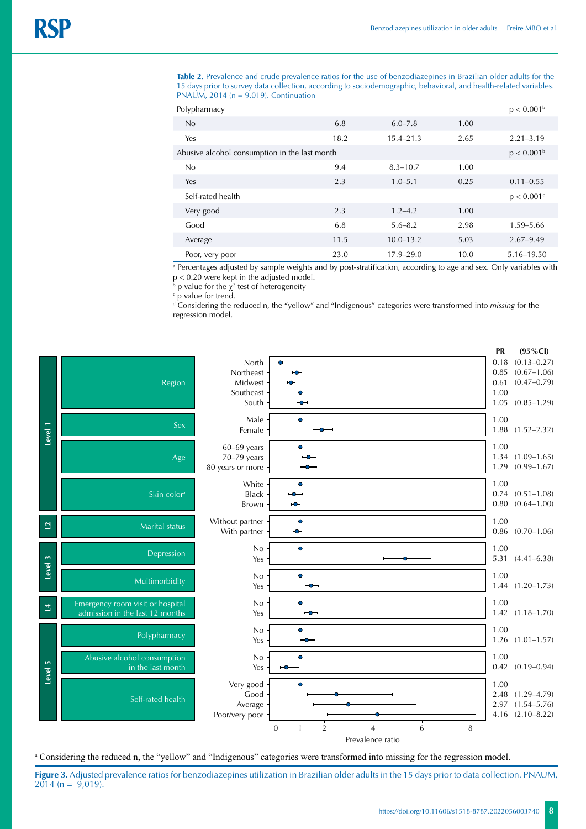**Table 2.** Prevalence and crude prevalence ratios for the use of benzodiazepines in Brazilian older adults for the 15 days prior to survey data collection, according to sociodemographic, behavioral, and health-related variables. PNAUM, 2014 (n = 9,019). Continuation

| Polypharmacy                                  |      |               |      | p < 0.001 <sup>b</sup> |
|-----------------------------------------------|------|---------------|------|------------------------|
| No                                            | 6.8  | $6.0 - 7.8$   | 1.00 |                        |
| Yes                                           | 18.2 | $15.4 - 21.3$ | 2.65 | $2.21 - 3.19$          |
| Abusive alcohol consumption in the last month |      |               |      |                        |
| No                                            | 9.4  | $8.3 - 10.7$  | 1.00 |                        |
| Yes                                           | 2.3  | $1.0 - 5.1$   | 0.25 | $0.11 - 0.55$          |
| Self-rated health                             |      |               |      | p < 0.001c             |
| Very good                                     | 2.3  | $1.2 - 4.2$   | 1.00 |                        |
| Good                                          | 6.8  | $5.6 - 8.2$   | 2.98 | 1.59-5.66              |
| Average                                       | 11.5 | $10.0 - 13.2$ | 5.03 | $2.67 - 9.49$          |
| Poor, very poor                               | 23.0 | $17.9 - 29.0$ | 10.0 | 5.16-19.50             |

a Percentages adjusted by sample weights and by post-stratification, according to age and sex. Only variables with p < 0.20 were kept in the adjusted model.

b p value for the  $\chi^2$  test of heterogeneity

c p value for trend.

d Considering the reduced n, the "yellow" and "Indigenous" categories were transformed into *missing* for the regression model.



a Considering the reduced n, the "yellow" and "Indigenous" categories were transformed into missing for the regression model.

**Figure 3.** Adjusted prevalence ratios for benzodiazepines utilization in Brazilian older adults in the 15 days prior to data collection. PNAUM,  $2014$  (n = 9,019).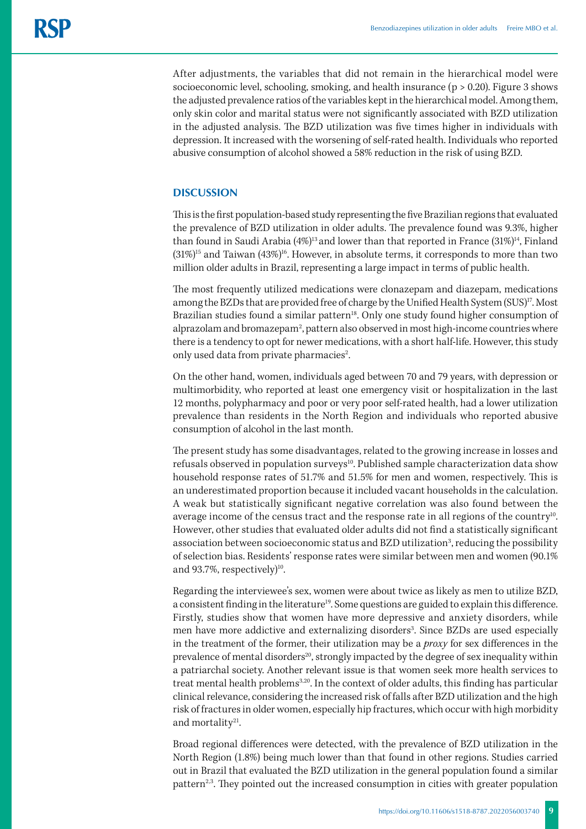After adjustments, the variables that did not remain in the hierarchical model were socioeconomic level, schooling, smoking, and health insurance ( $p > 0.20$ ). Figure 3 shows the adjusted prevalence ratios of the variables kept in the hierarchical model. Among them, only skin color and marital status were not significantly associated with BZD utilization in the adjusted analysis. The BZD utilization was five times higher in individuals with depression. It increased with the worsening of self-rated health. Individuals who reported abusive consumption of alcohol showed a 58% reduction in the risk of using BZD.

## **DISCUSSION**

This is the first population-based study representing the five Brazilian regions that evaluated the prevalence of BZD utilization in older adults. The prevalence found was 9.3%, higher than found in Saudi Arabia (4%)<sup>13</sup> and lower than that reported in France (31%)<sup>14</sup>, Finland  $(31\%)^{15}$  and Taiwan  $(43\%)^{16}$ . However, in absolute terms, it corresponds to more than two million older adults in Brazil, representing a large impact in terms of public health.

The most frequently utilized medications were clonazepam and diazepam, medications among the BZDs that are provided free of charge by the Unified Health System (SUS)<sup>17</sup>. Most Brazilian studies found a similar pattern<sup>18</sup>. Only one study found higher consumption of alprazolam and bromazepam<sup>2</sup>, pattern also observed in most high-income countries where there is a tendency to opt for newer medications, with a short half-life. However, this study only used data from private pharmacies<sup>2</sup>. .

On the other hand, women, individuals aged between 70 and 79 years, with depression or multimorbidity, who reported at least one emergency visit or hospitalization in the last 12 months, polypharmacy and poor or very poor self-rated health, had a lower utilization prevalence than residents in the North Region and individuals who reported abusive consumption of alcohol in the last month.

The present study has some disadvantages, related to the growing increase in losses and refusals observed in population surveys<sup>10</sup>. Published sample characterization data show household response rates of 51.7% and 51.5% for men and women, respectively. This is an underestimated proportion because it included vacant households in the calculation. A weak but statistically significant negative correlation was also found between the average income of the census tract and the response rate in all regions of the country<sup>10</sup>. However, other studies that evaluated older adults did not find a statistically significant association between socioeconomic status and BZD utilization<sup>3</sup>, reducing the possibility of selection bias. Residents' response rates were similar between men and women (90.1% and 93.7%, respectively $)^{10}$ .

Regarding the interviewee's sex, women were about twice as likely as men to utilize BZD, a consistent finding in the literature<sup>19</sup>. Some questions are guided to explain this difference. Firstly, studies show that women have more depressive and anxiety disorders, while men have more addictive and externalizing disorders<sup>3</sup>. Since BZDs are used especially in the treatment of the former, their utilization may be a *proxy* for sex differences in the prevalence of mental disorders<sup>20</sup>, strongly impacted by the degree of sex inequality within a patriarchal society. Another relevant issue is that women seek more health services to treat mental health problems<sup>3,20</sup>. In the context of older adults, this finding has particular clinical relevance, considering the increased risk of falls after BZD utilization and the high risk of fractures in older women, especially hip fractures, which occur with high morbidity and mortality<sup>21</sup>.

Broad regional differences were detected, with the prevalence of BZD utilization in the North Region (1.8%) being much lower than that found in other regions. Studies carried out in Brazil that evaluated the BZD utilization in the general population found a similar pattern<sup>2,3</sup>. They pointed out the increased consumption in cities with greater population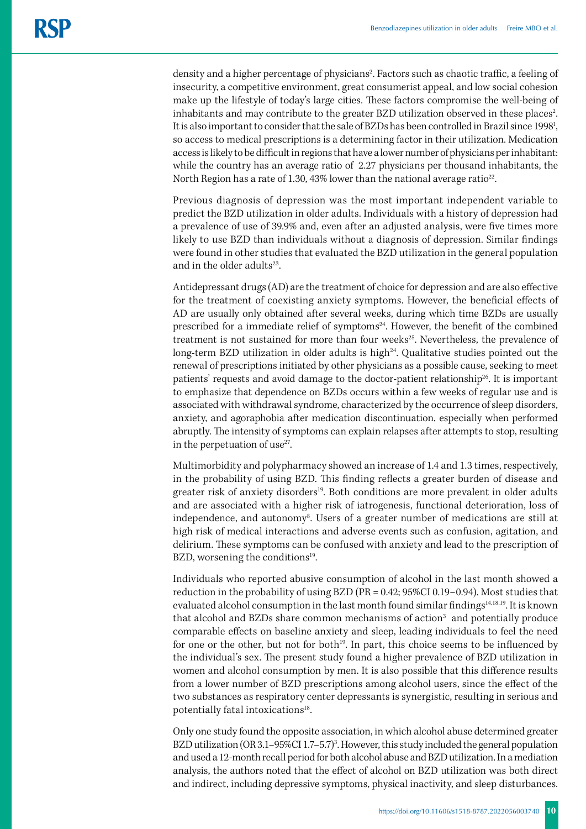density and a higher percentage of physicians<sup>2</sup>. Factors such as chaotic traffic, a feeling of insecurity, a competitive environment, great consumerist appeal, and low social cohesion make up the lifestyle of today's large cities. These factors compromise the well-being of inhabitants and may contribute to the greater BZD utilization observed in these places $^2$ . It is also important to consider that the sale of BZDs has been controlled in Brazil since 1998<sup>1</sup>, so access to medical prescriptions is a determining factor in their utilization. Medication access is likely to be difficult in regions that have a lower number of physicians per inhabitant: while the country has an average ratio of 2.27 physicians per thousand inhabitants, the North Region has a rate of 1.30, 43% lower than the national average ratio<sup>22</sup>.

Previous diagnosis of depression was the most important independent variable to predict the BZD utilization in older adults. Individuals with a history of depression had a prevalence of use of 39.9% and, even after an adjusted analysis, were five times more likely to use BZD than individuals without a diagnosis of depression. Similar findings were found in other studies that evaluated the BZD utilization in the general population and in the older adults $23$ .

Antidepressant drugs (AD) are the treatment of choice for depression and are also effective for the treatment of coexisting anxiety symptoms. However, the beneficial effects of AD are usually only obtained after several weeks, during which time BZDs are usually prescribed for a immediate relief of symptoms<sup>24</sup>. However, the benefit of the combined treatment is not sustained for more than four weeks<sup>25</sup>. Nevertheless, the prevalence of long-term BZD utilization in older adults is high $^{24}$ . Qualitative studies pointed out the renewal of prescriptions initiated by other physicians as a possible cause, seeking to meet patients' requests and avoid damage to the doctor-patient relationship<sup>26</sup>. It is important to emphasize that dependence on BZDs occurs within a few weeks of regular use and is associated with withdrawal syndrome, characterized by the occurrence of sleep disorders, anxiety, and agoraphobia after medication discontinuation, especially when performed abruptly. The intensity of symptoms can explain relapses after attempts to stop, resulting in the perpetuation of use $27$ .

Multimorbidity and polypharmacy showed an increase of 1.4 and 1.3 times, respectively, in the probability of using BZD. This finding reflects a greater burden of disease and greater risk of anxiety disorders<sup>19</sup>. Both conditions are more prevalent in older adults and are associated with a higher risk of iatrogenesis, functional deterioration, loss of independence, and autonomy<sup>8</sup>. Users of a greater number of medications are still at high risk of medical interactions and adverse events such as confusion, agitation, and delirium. These symptoms can be confused with anxiety and lead to the prescription of BZD, worsening the conditions<sup>19</sup>.

Individuals who reported abusive consumption of alcohol in the last month showed a reduction in the probability of using BZD (PR = 0.42; 95%CI 0.19–0.94). Most studies that evaluated alcohol consumption in the last month found similar findings<sup>14,18,19</sup>. It is known that alcohol and BZDs share common mechanisms of action $^3$  and potentially produce comparable effects on baseline anxiety and sleep, leading individuals to feel the need for one or the other, but not for both $19$ . In part, this choice seems to be influenced by the individual's sex. The present study found a higher prevalence of BZD utilization in women and alcohol consumption by men. It is also possible that this difference results from a lower number of BZD prescriptions among alcohol users, since the effect of the two substances as respiratory center depressants is synergistic, resulting in serious and potentially fatal intoxications<sup>18</sup>.

Only one study found the opposite association, in which alcohol abuse determined greater BZD utilization (OR 3.1–95%CI 1.7–5.7)<sup>3</sup>. However, this study included the general population and used a 12-month recall period for both alcohol abuse and BZD utilization. In a mediation analysis, the authors noted that the effect of alcohol on BZD utilization was both direct and indirect, including depressive symptoms, physical inactivity, and sleep disturbances.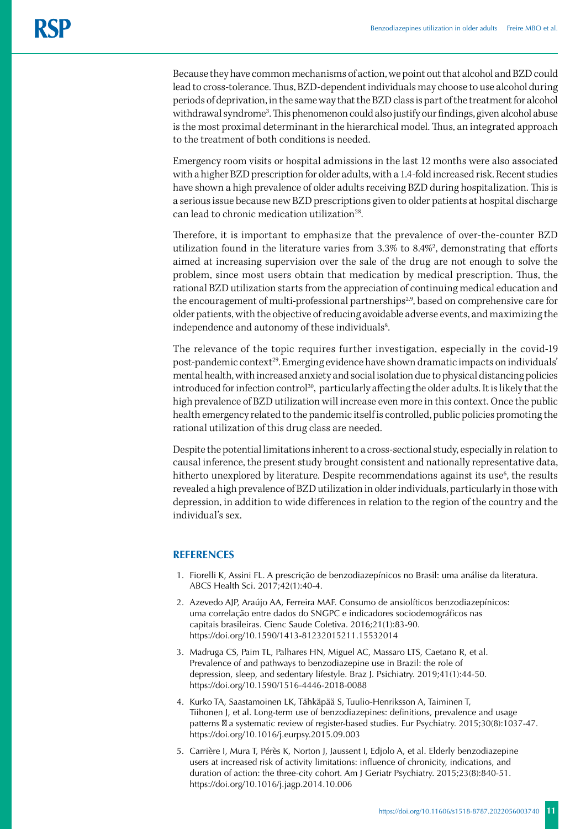Because they have common mechanisms of action, we point out that alcohol and BZD could lead to cross-tolerance. Thus, BZD-dependent individuals may choose to use alcohol during periods of deprivation, in the same way that the BZD class is part of the treatment for alcohol withdrawal syndrome3 . This phenomenon could also justify our findings, given alcohol abuse is the most proximal determinant in the hierarchical model. Thus, an integrated approach to the treatment of both conditions is needed.

Emergency room visits or hospital admissions in the last 12 months were also associated with a higher BZD prescription for older adults, with a 1.4-fold increased risk. Recent studies have shown a high prevalence of older adults receiving BZD during hospitalization. This is a serious issue because new BZD prescriptions given to older patients at hospital discharge can lead to chronic medication utilization<sup>28</sup>.

Therefore, it is important to emphasize that the prevalence of over-the-counter BZD utilization found in the literature varies from 3.3% to 8.4%2 , demonstrating that efforts aimed at increasing supervision over the sale of the drug are not enough to solve the problem, since most users obtain that medication by medical prescription. Thus, the rational BZD utilization starts from the appreciation of continuing medical education and the encouragement of multi-professional partnerships<sup>2,9</sup>, based on comprehensive care for older patients, with the objective of reducing avoidable adverse events, and maximizing the independence and autonomy of these individuals<sup>8</sup>. .

The relevance of the topic requires further investigation, especially in the covid-19 post-pandemic context<sup>29</sup>. Emerging evidence have shown dramatic impacts on individuals' mental health, with increased anxiety and social isolation due to physical distancing policies introduced for infection control<sup>30</sup>, particularly affecting the older adults. It is likely that the high prevalence of BZD utilization will increase even more in this context. Once the public health emergency related to the pandemic itself is controlled, public policies promoting the rational utilization of this drug class are needed.

Despite the potential limitations inherent to a cross-sectional study, especially in relation to causal inference, the present study brought consistent and nationally representative data, hitherto unexplored by literature. Despite recommendations against its use<sup>6</sup>, the results revealed a high prevalence of BZD utilization in older individuals, particularly in those with depression, in addition to wide differences in relation to the region of the country and the individual's sex.

## **REFERENCES**

- 1. Fiorelli K, Assini FL. A prescrição de benzodiazepínicos no Brasil: uma análise da literatura. ABCS Health Sci. 2017;42(1):40-4.
- 2. Azevedo AJP, Araújo AA, Ferreira MAF. Consumo de ansiolíticos benzodiazepínicos: uma correlação entre dados do SNGPC e indicadores sociodemográficos nas capitais brasileiras. Cienc Saude Coletiva. 2016;21(1):83-90. https://doi.org/10.1590/1413-81232015211.15532014
- 3. Madruga CS, Paim TL, Palhares HN, Miguel AC, Massaro LTS, Caetano R, et al. Prevalence of and pathways to benzodiazepine use in Brazil: the role of depression, sleep, and sedentary lifestyle. Braz J. Psichiatry. 2019;41(1):44-50. https://doi.org/10.1590/1516-4446-2018-0088
- 4. Kurko TA, Saastamoinen LK, Tähkäpää S, Tuulio-Henriksson A, Taiminen T, Tiihonen J, et al. Long-term use of benzodiazepines: definitions, prevalence and usage patterns a systematic review of register-based studies. Eur Psychiatry. 2015;30(8):1037-47. https://doi.org/10.1016/j.eurpsy.2015.09.003
- 5. Carrière I, Mura T, Pérès K, Norton J, Jaussent I, Edjolo A, et al. Elderly benzodiazepine users at increased risk of activity limitations: influence of chronicity, indications, and duration of action: the three-city cohort. Am J Geriatr Psychiatry. 2015;23(8):840-51. https://doi.org/10.1016/j.jagp.2014.10.006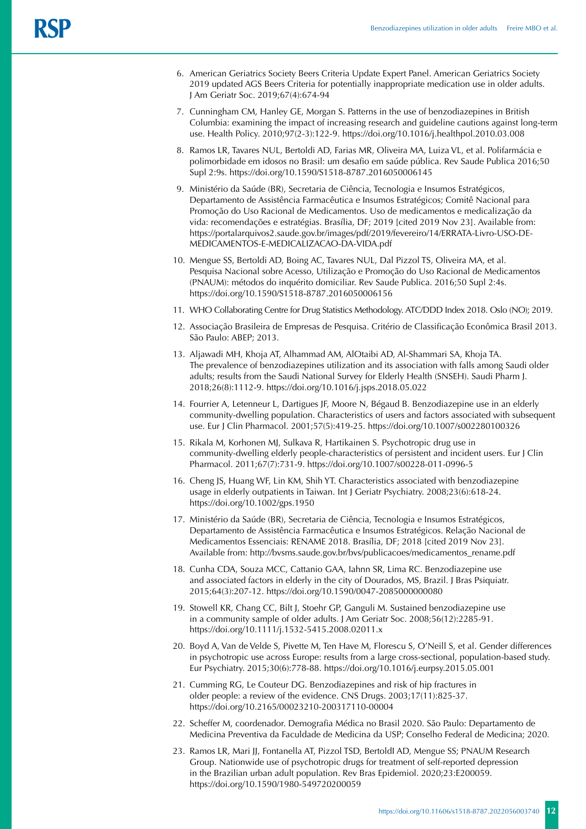- 6. American Geriatrics Society Beers Criteria Update Expert Panel. American Geriatrics Society 2019 updated AGS Beers Criteria for potentially inappropriate medication use in older adults. J Am Geriatr Soc. 2019;67(4):674-94
- 7. Cunningham CM, Hanley GE, Morgan S. Patterns in the use of benzodiazepines in British Columbia: examining the impact of increasing research and guideline cautions against long-term use. Health Policy. 2010;97(2-3):122-9. https://doi.org/10.1016/j.healthpol.2010.03.008
- 8. Ramos LR, Tavares NUL, Bertoldi AD, Farias MR, Oliveira MA, Luiza VL, et al. Polifarmácia e polimorbidade em idosos no Brasil: um desafio em saúde pública. Rev Saude Publica 2016;50 Supl 2:9s. [https://doi.org/10.1590/S1518-8787.2016050006145](about:blank)
- 9. Ministério da Saúde (BR), Secretaria de Ciência, Tecnologia e Insumos Estratégicos, Departamento de Assistência Farmacêutica e Insumos Estratégicos; Comitê Nacional para Promoção do Uso Racional de Medicamentos. Uso de medicamentos e medicalização da vida: recomendações e estratégias. Brasília, DF; 2019 [cited 2019 Nov 23]. Available from: https://portalarquivos2.saude.gov.br/images/pdf/2019/fevereiro/14/ERRATA-Livro-USO-DE-MEDICAMENTOS-E-MEDICALIZACAO-DA-VIDA.pdf
- 10. Mengue SS, Bertoldi AD, Boing AC, Tavares NUL, Dal Pizzol TS, Oliveira MA, et al. Pesquisa Nacional sobre Acesso, Utilização e Promoção do Uso Racional de Medicamentos (PNAUM): métodos do inquérito domiciliar. Rev Saude Publica. 2016;50 Supl 2:4s. https://doi.org/10.1590/S1518-8787.2016050006156
- 11. WHO Collaborating Centre for Drug Statistics Methodology. ATC/DDD Index 2018. Oslo (NO); 2019.
- 12. Associação Brasileira de Empresas de Pesquisa. Critério de Classificação Econômica Brasil 2013. São Paulo: ABEP; 2013.
- 13. Aljawadi MH, Khoja AT, Alhammad AM, AlOtaibi AD, Al-Shammari SA, Khoja TA. The prevalence of benzodiazepines utilization and its association with falls among Saudi older adults; results from the Saudi National Survey for Elderly Health (SNSEH). Saudi Pharm J. 2018;26(8):1112-9. https://doi.org/10.1016/j.jsps.2018.05.022
- 14. Fourrier A, Letenneur L, Dartigues JF, Moore N, Bégaud B. Benzodiazepine use in an elderly community-dwelling population. Characteristics of users and factors associated with subsequent use. Eur J Clin Pharmacol. 2001;57(5):419-25. https://doi.org/10.1007/s002280100326
- 15. Rikala M, Korhonen MJ, Sulkava R, Hartikainen S. Psychotropic drug use in community-dwelling elderly people-characteristics of persistent and incident users. Eur J Clin Pharmacol. 2011;67(7):731-9. https://doi.org/10.1007/s00228-011-0996-5
- 16. Cheng JS, Huang WF, Lin KM, Shih YT. Characteristics associated with benzodiazepine usage in elderly outpatients in Taiwan. Int J Geriatr Psychiatry. 2008;23(6):618-24. https://doi.org/10.1002/gps.1950
- 17. Ministério da Saúde (BR), Secretaria de Ciência, Tecnologia e Insumos Estratégicos, Departamento de Assistência Farmacêutica e Insumos Estratégicos. Relação Nacional de Medicamentos Essenciais: RENAME 2018. Brasília, DF; 2018 [cited 2019 Nov 23]. Available from: [http://bvsms.saude.gov.br/bvs/publicacoes/medicamentos\\_rename.pdf](about:blank)
- 18. Cunha CDA, Souza MCC, Cattanio GAA, Iahnn SR, Lima RC. Benzodiazepine use and associated factors in elderly in the city of Dourados, MS, Brazil. J Bras Psiquiatr. 2015;64(3):207-12. https://doi.org/10.1590/0047-2085000000080
- 19. Stowell KR, Chang CC, Bilt J, Stoehr GP, Ganguli M. Sustained benzodiazepine use in a community sample of older adults. J Am Geriatr Soc. 2008;56(12):2285-91. https://doi.org/10.1111/j.1532-5415.2008.02011.x
- 20. Boyd A, Van de Velde S, Pivette M, Ten Have M, Florescu S, O'Neill S, et al. Gender differences in psychotropic use across Europe: results from a large cross-sectional, population-based study. Eur Psychiatry. 2015;30(6):778-88. https://doi.org/10.1016/j.eurpsy.2015.05.001
- 21. Cumming RG, Le Couteur DG. Benzodiazepines and risk of hip fractures in older people: a review of the evidence. CNS Drugs. 2003;17(11):825-37. https://doi.org/10.2165/00023210-200317110-00004
- 22. Scheffer M, coordenador. Demografia Médica no Brasil 2020. São Paulo: Departamento de Medicina Preventiva da Faculdade de Medicina da USP; Conselho Federal de Medicina; 2020.
- 23. Ramos LR, Mari JJ, Fontanella AT, Pizzol TSD, BertoldI AD, Mengue SS; PNAUM Research Group. Nationwide use of psychotropic drugs for treatment of self-reported depression in the Brazilian urban adult population. Rev Bras Epidemiol. 2020;23:E200059. https://doi.org/10.1590/1980-549720200059